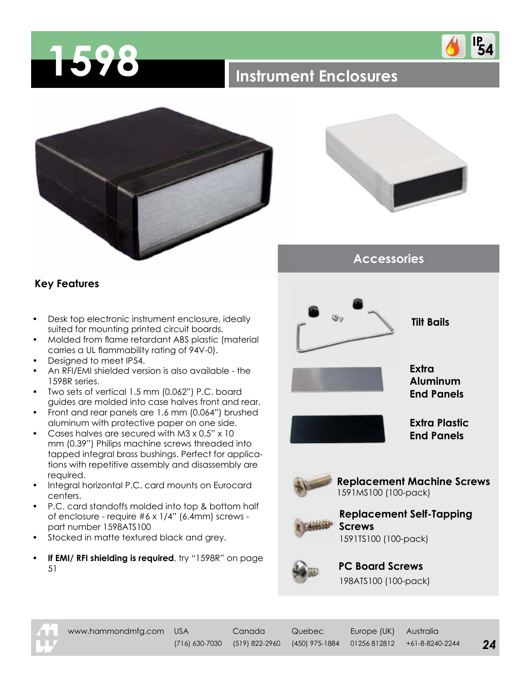

## **1598 Instrument Enclosures**





**IP<sub>54</sub>** 

**Accessories**

## **Key Features**

- Desk top electronic instrument enclosure, ideally suited for mounting printed circuit boards.
- Molded from flame retardant ABS plastic (material carries a UL flammability rating of 94V-0).
- Designed to meet IP54.
- An RFI/EMI shielded version is also available the 1598R series.
- Two sets of vertical 1.5 mm (0.062") P.C. board guides are molded into case halves front and rear.
- Front and rear panels are 1.6 mm (0.064") brushed aluminum with protective paper on one side.
- Cases halves are secured with M3 x 0.5" x 10 mm (0.39") Philips machine screws threaded into tapped integral brass bushings. Perfect for applications with repetitive assembly and disassembly are required.
- Integral horizontal P.C. card mounts on Eurocard centers.
- P.C. card standoffs molded into top & bottom half of enclosure - require #6 x 1/4" (6.4mm) screws part number 1598ATS100
- Stocked in matte textured black and grey.
- **• If EMI/ RFI shielding is required**, try "1598R" on page 51







**PC Board Screws** 198ATS100 (100-pack)



www.hammondmfg.com USA Canada Quebec Europe (UK) Australia

(716) 630-7030 (519) 822-2960 (450) 975-1884 01256 812812 +61-8-8240-2244 *24*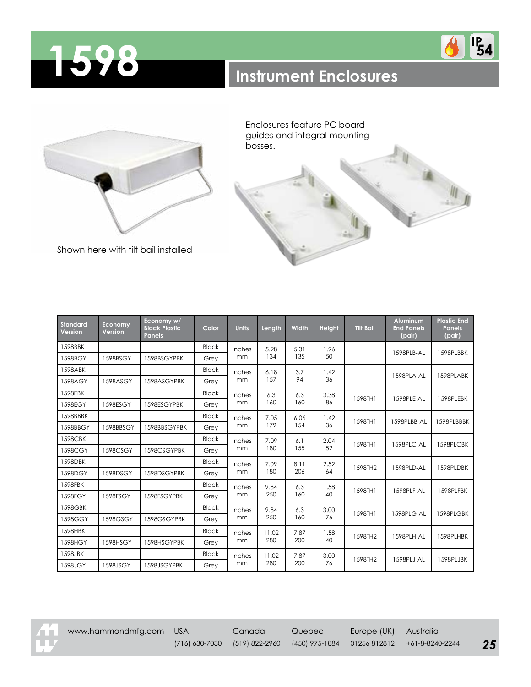





Enclosures feature PC board guides and integral mounting bosses.

Shown here with tilt bail installed

| <b>Standard</b><br>Version | <b>Economy</b><br>Version | Economy w/<br><b>Black Plastic</b><br>Panels | Color        | <b>Units</b> | Length       | <b>Width</b> | <b>Height</b> | <b>Tilt Bail</b> | <b>Aluminum</b><br><b>End Panels</b><br>(pair) | <b>Plastic End</b><br><b>Panels</b><br>(pair) |
|----------------------------|---------------------------|----------------------------------------------|--------------|--------------|--------------|--------------|---------------|------------------|------------------------------------------------|-----------------------------------------------|
| 1598BBK                    |                           |                                              | <b>Black</b> | Inches<br>mm | 5.28<br>134  | 5.31<br>135  | 1.96<br>50    |                  | 1598PLB-AL                                     | 1598PLBBK                                     |
| 1598BGY                    | 1598BSGY                  | 1598BSGYPBK                                  | Grey         |              |              |              |               |                  |                                                |                                               |
| 1598ABK                    |                           |                                              | <b>Black</b> | Inches<br>mm | 6.18<br>157  | 3.7<br>94    | 1.42<br>36    |                  | 1598PLA-AL                                     | 1598PLABK                                     |
| 1598AGY                    | 1598ASGY                  | 1598ASGYPBK                                  | Grev         |              |              |              |               |                  |                                                |                                               |
| 1598EBK                    |                           |                                              | <b>Black</b> | Inches<br>mm | 6.3<br>160   | 6.3<br>160   | 3.38<br>86    | 1598TH1          | 1598PLE-AL                                     | 1598PLEBK                                     |
| 1598EGY                    | 1598ESGY                  | 1598ESGYPBK                                  | Grey         |              |              |              |               |                  |                                                |                                               |
| 1598BBBK                   |                           |                                              | <b>Black</b> | Inches<br>mm | 7.05<br>179  | 6.06<br>154  | 1.42<br>36    | 1598TH1          | 1598PLBB-AL                                    | 1598PLBBBK                                    |
| 1598BBGY                   | 1598BBSGY                 | 1598BBSGYPBK                                 | Grey         |              |              |              |               |                  |                                                |                                               |
| 1598CBK                    |                           |                                              | <b>Black</b> | Inches<br>mm | 7.09<br>180  | 6.1<br>155   | 2.04<br>52    | 1598TH1          | 1598PLC-AL                                     | 1598PLCBK                                     |
| 1598CGY                    | 1598CSGY                  | 1598CSGYPBK                                  | Grev         |              |              |              |               |                  |                                                |                                               |
| 1598DBK                    |                           |                                              | <b>Black</b> | Inches<br>mm | 7.09<br>180  | 8.11<br>206  | 2.52<br>64    | 1598TH2          | 1598PLD-AL                                     | 1598PLDBK                                     |
| 1598DGY                    | 1598DSGY                  | 1598DSGYPBK                                  | Grey         |              |              |              |               |                  |                                                |                                               |
| 1598FBK                    |                           |                                              | <b>Black</b> | Inches<br>mm | 9.84<br>250  | 6.3<br>160   | 1.58<br>40    | 1598TH1          | 1598PLF-AL                                     | 1598PLFBK                                     |
| 1598FGY                    | 1598FSGY                  | 1598FSGYPBK                                  | Grey         |              |              |              |               |                  |                                                |                                               |
| 1598GBK                    |                           |                                              | <b>Black</b> | Inches<br>mm | 9.84<br>250  | 6.3<br>160   | 3.00<br>76    | 1598TH1          | 1598PLG-AL                                     | 1598PLGBK                                     |
| 1598GGY                    | 1598GSGY                  | 1598GSGYPBK                                  | Grev         |              |              |              |               |                  |                                                |                                               |
| 1598HBK                    |                           |                                              | <b>Black</b> | Inches<br>mm | 11.02<br>280 | 7.87<br>200  | 1.58<br>40    | 1598TH2          | 1598PLH-AL                                     | 1598PLHBK                                     |
| 1598HGY                    | 1598HSGY                  | 1598HSGYPBK                                  | Grey         |              |              |              |               |                  |                                                |                                               |
| 1598JBK                    |                           |                                              | <b>Black</b> | Inches<br>mm | 11.02<br>280 | 7.87<br>200  | 3.00<br>76    | 1598TH2          | 1598PLJ-AL                                     | 1598PLJBK                                     |
| 1598JGY                    | 1598JSGY                  | 1598JSGYPBK                                  | Grey         |              |              |              |               |                  |                                                |                                               |